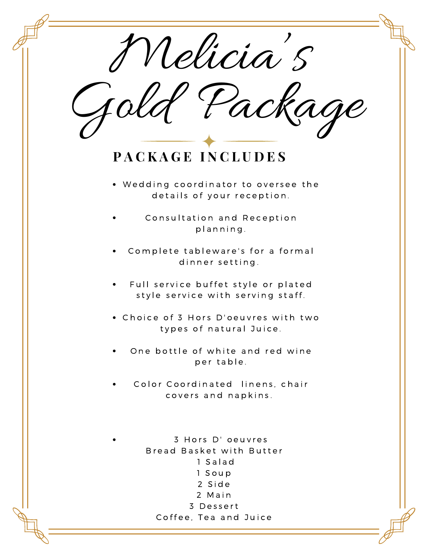Melicia ' s **P A C K A G E I N C L U D E S** • Wedding coordinator to oversee the details of your reception. Consultation and Reception planning. Complete tableware's for a formal dinner setting. Full service buffet style or plated style service with serving staff. • Choice of 3 Hors D'oeuvres with two types of natural Juice. One bottle of white and red wine per table. Color Coordinated linens, chair covers and napkins. 3 Hors D' oeuvres Bread Basket with Butter 1 S a l a d 1 S o u p 2 S i d e 2 Main 3 D e s s e r t Coffee, Tea and Juice Package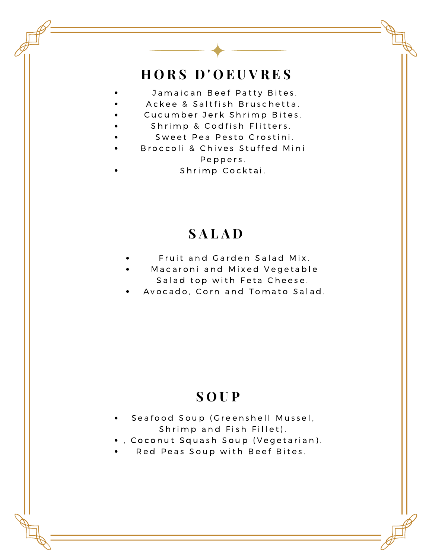## **H O R S D ' O E U V R E S**

- Jamaican Beef Patty Bites.
- Ackee & Saltfish Bruschetta.
- Cucumber Jerk Shrimp Bites.
- Shrimp & Codfish Flitters.
- Sweet Pea Pesto Crostini.
- Broccoli & Chives Stuffed Mini Peppers.
- Shrimp Cocktai.

### **S A L A D**

- Fruit and Garden Salad Mix.
- Macaroni and Mixed Vegetable Salad top with Feta Cheese.
- Avocado, Corn and Tomato Salad.

#### **S O U P**

- Seafood Soup (Greenshell Mussel, Shrimp and Fish Fillet).
- , Coconut Squash Soup (Vegetarian).
- Red Peas Soup with Beef Bites.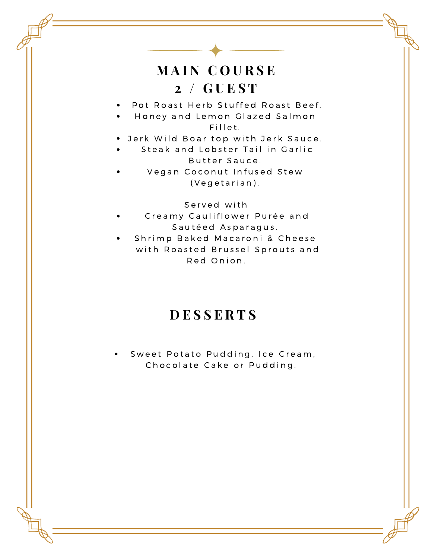## **M A I N C O U R S E 2 / G U E S T**

- Pot Roast Herb Stuffed Roast Beef.
- Honey and Lemon Glazed Salmon Fillet.
- Jerk Wild Boar top with Jerk Sauce.
- Steak and Lobster Tail in Garlic Butter Sauce.
- Vegan Coconut Infused Stew (Vegetarian).

Served with

- Creamy Cauliflower Purée and Sautéed Asparagus.
- Shrimp Baked Macaroni & Cheese  $\bullet$ with Roasted Brussel Sprouts and Red Onion.

#### **D E S S E R T S**

Sweet Potato Pudding, Ice Cream, Chocolate Cake or Pudding.